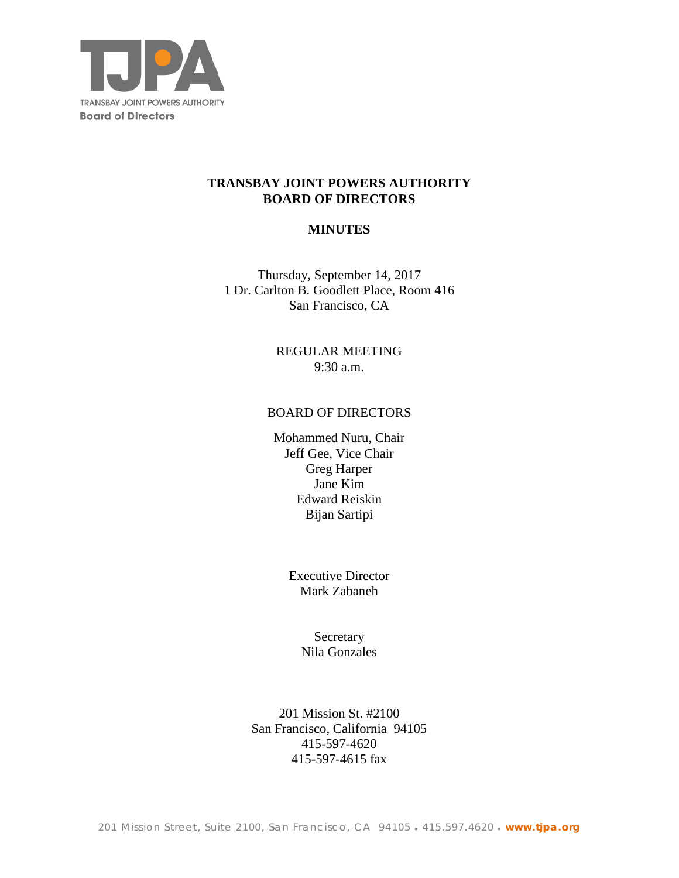

## **TRANSBAY JOINT POWERS AUTHORITY BOARD OF DIRECTORS**

## **MINUTES**

Thursday, September 14, 2017 1 Dr. Carlton B. Goodlett Place, Room 416 San Francisco, CA

> REGULAR MEETING 9:30 a.m.

### BOARD OF DIRECTORS

Mohammed Nuru, Chair Jeff Gee, Vice Chair Greg Harper Jane Kim Edward Reiskin Bijan Sartipi

> Executive Director Mark Zabaneh

> > **Secretary** Nila Gonzales

201 Mission St. #2100 San Francisco, California 94105 415-597-4620 415-597-4615 fax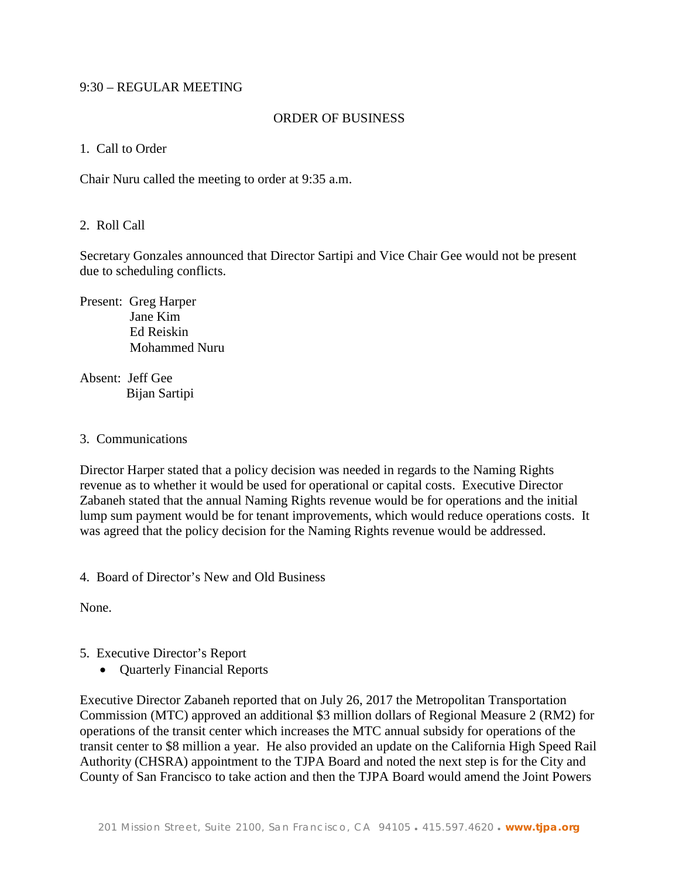### 9:30 – REGULAR MEETING

### ORDER OF BUSINESS

### 1. Call to Order

Chair Nuru called the meeting to order at 9:35 a.m.

## 2. Roll Call

Secretary Gonzales announced that Director Sartipi and Vice Chair Gee would not be present due to scheduling conflicts.

Present: Greg Harper Jane Kim Ed Reiskin Mohammed Nuru

Absent: Jeff Gee Bijan Sartipi

#### 3. Communications

Director Harper stated that a policy decision was needed in regards to the Naming Rights revenue as to whether it would be used for operational or capital costs. Executive Director Zabaneh stated that the annual Naming Rights revenue would be for operations and the initial lump sum payment would be for tenant improvements, which would reduce operations costs. It was agreed that the policy decision for the Naming Rights revenue would be addressed.

4. Board of Director's New and Old Business

None.

- 5. Executive Director's Report
	- Quarterly Financial Reports

Executive Director Zabaneh reported that on July 26, 2017 the Metropolitan Transportation Commission (MTC) approved an additional \$3 million dollars of Regional Measure 2 (RM2) for operations of the transit center which increases the MTC annual subsidy for operations of the transit center to \$8 million a year. He also provided an update on the California High Speed Rail Authority (CHSRA) appointment to the TJPA Board and noted the next step is for the City and County of San Francisco to take action and then the TJPA Board would amend the Joint Powers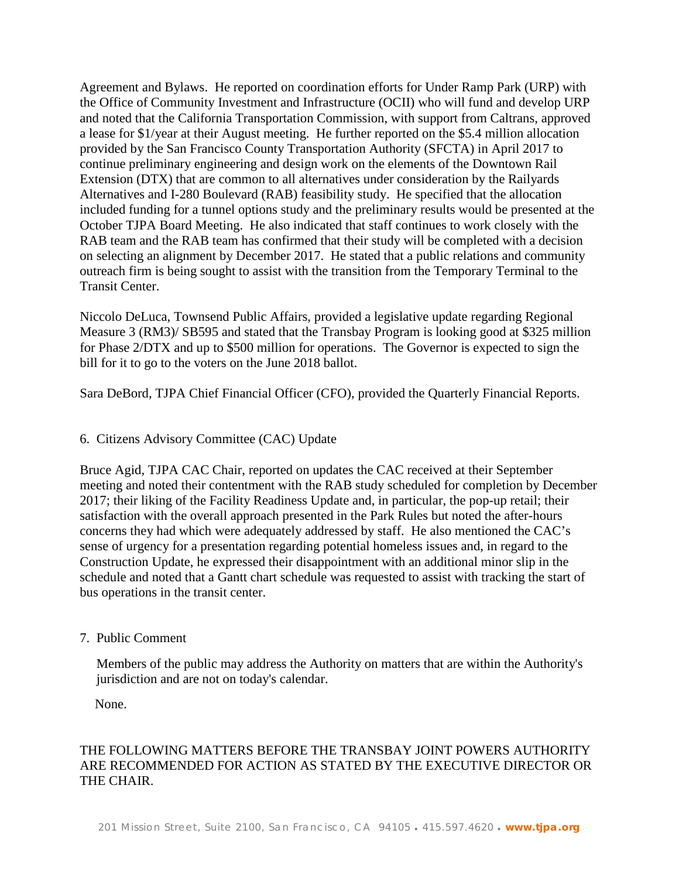Agreement and Bylaws. He reported on coordination efforts for Under Ramp Park (URP) with the Office of Community Investment and Infrastructure (OCII) who will fund and develop URP and noted that the California Transportation Commission, with support from Caltrans, approved a lease for \$1/year at their August meeting. He further reported on the \$5.4 million allocation provided by the San Francisco County Transportation Authority (SFCTA) in April 2017 to continue preliminary engineering and design work on the elements of the Downtown Rail Extension (DTX) that are common to all alternatives under consideration by the Railyards Alternatives and I-280 Boulevard (RAB) feasibility study. He specified that the allocation included funding for a tunnel options study and the preliminary results would be presented at the October TJPA Board Meeting. He also indicated that staff continues to work closely with the RAB team and the RAB team has confirmed that their study will be completed with a decision on selecting an alignment by December 2017. He stated that a public relations and community outreach firm is being sought to assist with the transition from the Temporary Terminal to the Transit Center.

Niccolo DeLuca, Townsend Public Affairs, provided a legislative update regarding Regional Measure 3 (RM3)/ SB595 and stated that the Transbay Program is looking good at \$325 million for Phase 2/DTX and up to \$500 million for operations. The Governor is expected to sign the bill for it to go to the voters on the June 2018 ballot.

Sara DeBord, TJPA Chief Financial Officer (CFO), provided the Quarterly Financial Reports.

## 6. Citizens Advisory Committee (CAC) Update

Bruce Agid, TJPA CAC Chair, reported on updates the CAC received at their September meeting and noted their contentment with the RAB study scheduled for completion by December 2017; their liking of the Facility Readiness Update and, in particular, the pop-up retail; their satisfaction with the overall approach presented in the Park Rules but noted the after-hours concerns they had which were adequately addressed by staff. He also mentioned the CAC's sense of urgency for a presentation regarding potential homeless issues and, in regard to the Construction Update, he expressed their disappointment with an additional minor slip in the schedule and noted that a Gantt chart schedule was requested to assist with tracking the start of bus operations in the transit center.

## 7. Public Comment

 Members of the public may address the Authority on matters that are within the Authority's jurisdiction and are not on today's calendar.

None.

# THE FOLLOWING MATTERS BEFORE THE TRANSBAY JOINT POWERS AUTHORITY ARE RECOMMENDED FOR ACTION AS STATED BY THE EXECUTIVE DIRECTOR OR THE CHAIR.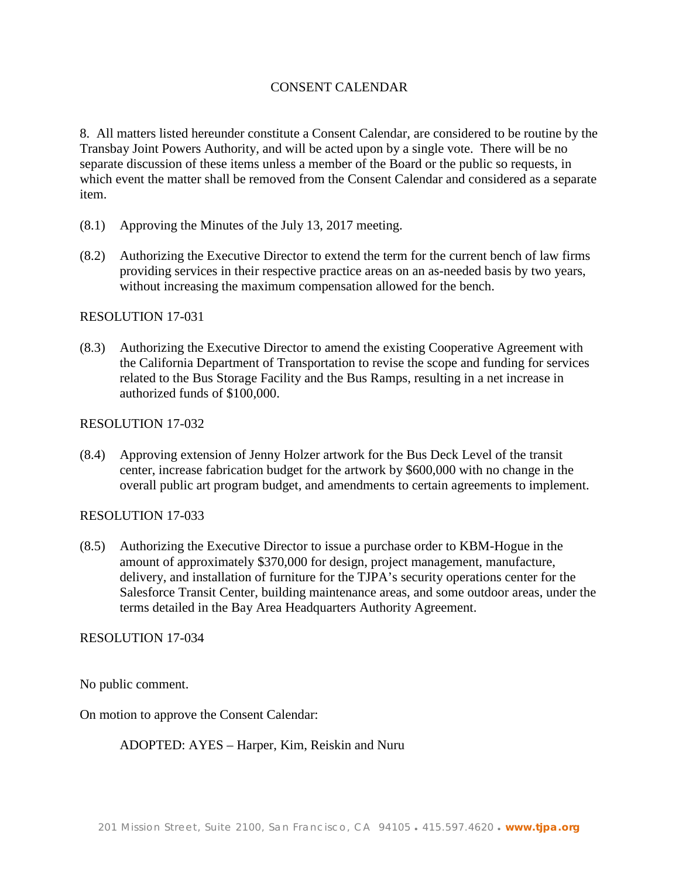## CONSENT CALENDAR

8. All matters listed hereunder constitute a Consent Calendar, are considered to be routine by the Transbay Joint Powers Authority, and will be acted upon by a single vote. There will be no separate discussion of these items unless a member of the Board or the public so requests, in which event the matter shall be removed from the Consent Calendar and considered as a separate item.

- (8.1) Approving the Minutes of the July 13, 2017 meeting.
- (8.2) Authorizing the Executive Director to extend the term for the current bench of law firms providing services in their respective practice areas on an as-needed basis by two years, without increasing the maximum compensation allowed for the bench.

### RESOLUTION 17-031

(8.3) Authorizing the Executive Director to amend the existing Cooperative Agreement with the California Department of Transportation to revise the scope and funding for services related to the Bus Storage Facility and the Bus Ramps, resulting in a net increase in authorized funds of \$100,000.

### RESOLUTION 17-032

(8.4) Approving extension of Jenny Holzer artwork for the Bus Deck Level of the transit center, increase fabrication budget for the artwork by \$600,000 with no change in the overall public art program budget, and amendments to certain agreements to implement.

## RESOLUTION 17-033

(8.5) Authorizing the Executive Director to issue a purchase order to KBM-Hogue in the amount of approximately \$370,000 for design, project management, manufacture, delivery, and installation of furniture for the TJPA's security operations center for the Salesforce Transit Center, building maintenance areas, and some outdoor areas, under the terms detailed in the Bay Area Headquarters Authority Agreement.

#### RESOLUTION 17-034

No public comment.

On motion to approve the Consent Calendar:

ADOPTED: AYES – Harper, Kim, Reiskin and Nuru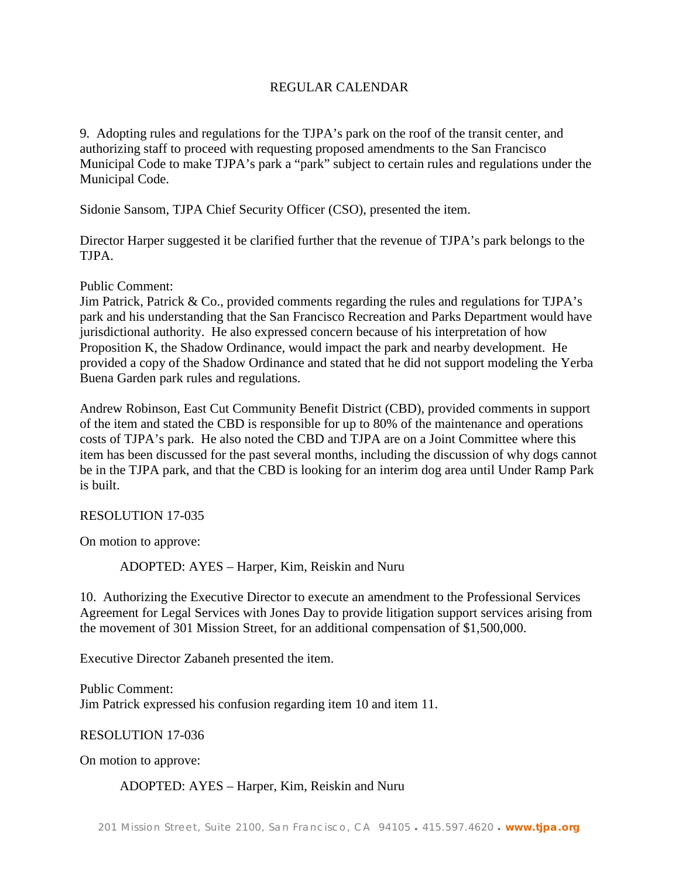## REGULAR CALENDAR

9. Adopting rules and regulations for the TJPA's park on the roof of the transit center, and authorizing staff to proceed with requesting proposed amendments to the San Francisco Municipal Code to make TJPA's park a "park" subject to certain rules and regulations under the Municipal Code.

Sidonie Sansom, TJPA Chief Security Officer (CSO), presented the item.

Director Harper suggested it be clarified further that the revenue of TJPA's park belongs to the TJPA.

Public Comment:

Jim Patrick, Patrick & Co., provided comments regarding the rules and regulations for TJPA's park and his understanding that the San Francisco Recreation and Parks Department would have jurisdictional authority. He also expressed concern because of his interpretation of how Proposition K, the Shadow Ordinance, would impact the park and nearby development. He provided a copy of the Shadow Ordinance and stated that he did not support modeling the Yerba Buena Garden park rules and regulations.

Andrew Robinson, East Cut Community Benefit District (CBD), provided comments in support of the item and stated the CBD is responsible for up to 80% of the maintenance and operations costs of TJPA's park. He also noted the CBD and TJPA are on a Joint Committee where this item has been discussed for the past several months, including the discussion of why dogs cannot be in the TJPA park, and that the CBD is looking for an interim dog area until Under Ramp Park is built.

## RESOLUTION 17-035

On motion to approve:

ADOPTED: AYES – Harper, Kim, Reiskin and Nuru

10. Authorizing the Executive Director to execute an amendment to the Professional Services Agreement for Legal Services with Jones Day to provide litigation support services arising from the movement of 301 Mission Street, for an additional compensation of \$1,500,000.

Executive Director Zabaneh presented the item.

Public Comment: Jim Patrick expressed his confusion regarding item 10 and item 11.

RESOLUTION 17-036

On motion to approve:

## ADOPTED: AYES – Harper, Kim, Reiskin and Nuru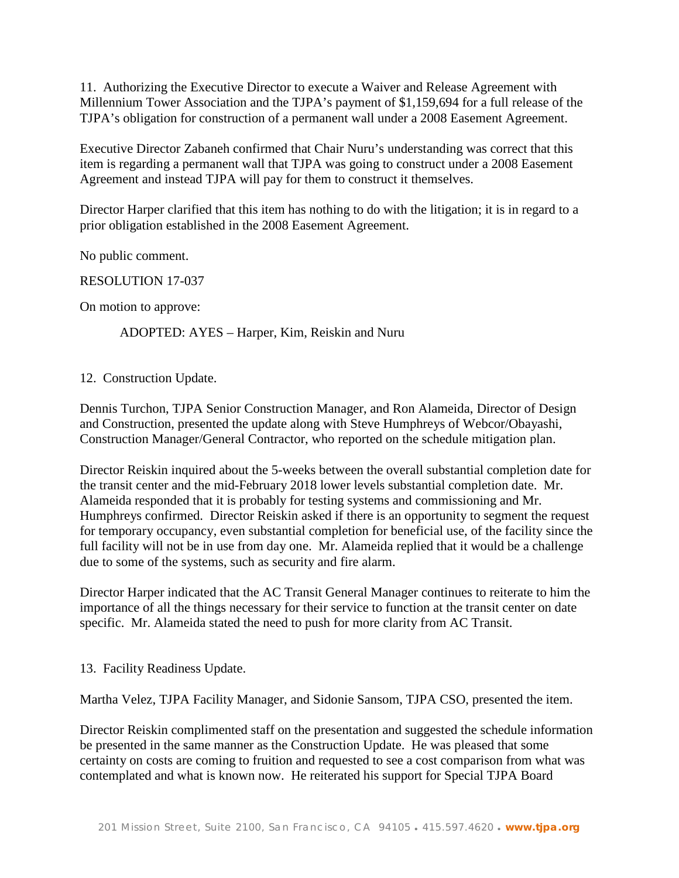11. Authorizing the Executive Director to execute a Waiver and Release Agreement with Millennium Tower Association and the TJPA's payment of \$1,159,694 for a full release of the TJPA's obligation for construction of a permanent wall under a 2008 Easement Agreement.

Executive Director Zabaneh confirmed that Chair Nuru's understanding was correct that this item is regarding a permanent wall that TJPA was going to construct under a 2008 Easement Agreement and instead TJPA will pay for them to construct it themselves.

Director Harper clarified that this item has nothing to do with the litigation; it is in regard to a prior obligation established in the 2008 Easement Agreement.

No public comment.

RESOLUTION 17-037

On motion to approve:

ADOPTED: AYES – Harper, Kim, Reiskin and Nuru

## 12. Construction Update.

Dennis Turchon, TJPA Senior Construction Manager, and Ron Alameida, Director of Design and Construction, presented the update along with Steve Humphreys of Webcor/Obayashi, Construction Manager/General Contractor, who reported on the schedule mitigation plan.

Director Reiskin inquired about the 5-weeks between the overall substantial completion date for the transit center and the mid-February 2018 lower levels substantial completion date. Mr. Alameida responded that it is probably for testing systems and commissioning and Mr. Humphreys confirmed. Director Reiskin asked if there is an opportunity to segment the request for temporary occupancy, even substantial completion for beneficial use, of the facility since the full facility will not be in use from day one. Mr. Alameida replied that it would be a challenge due to some of the systems, such as security and fire alarm.

Director Harper indicated that the AC Transit General Manager continues to reiterate to him the importance of all the things necessary for their service to function at the transit center on date specific. Mr. Alameida stated the need to push for more clarity from AC Transit.

13. Facility Readiness Update.

Martha Velez, TJPA Facility Manager, and Sidonie Sansom, TJPA CSO, presented the item.

Director Reiskin complimented staff on the presentation and suggested the schedule information be presented in the same manner as the Construction Update. He was pleased that some certainty on costs are coming to fruition and requested to see a cost comparison from what was contemplated and what is known now. He reiterated his support for Special TJPA Board